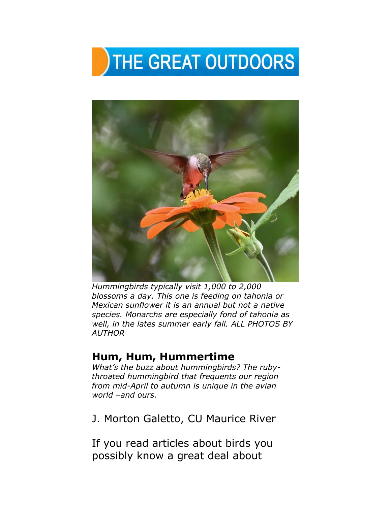## THE GREAT OUTDOORS



*Hummingbirds typically visit 1,000 to 2,000 blossoms a day. This one is feeding on tahonia or Mexican sunflower it is an annual but not a native species. Monarchs are especially fond of tahonia as well, in the lates summer early fall. ALL PHOTOS BY AUTHOR* 

## **Hum, Hum, Hummertime**

*What's the buzz about hummingbirds? The rubythroated hummingbird that frequents our region from mid-April to autumn is unique in the avian world –and ours.* 

J. Morton Galetto, CU Maurice River

If you read articles about birds you possibly know a great deal about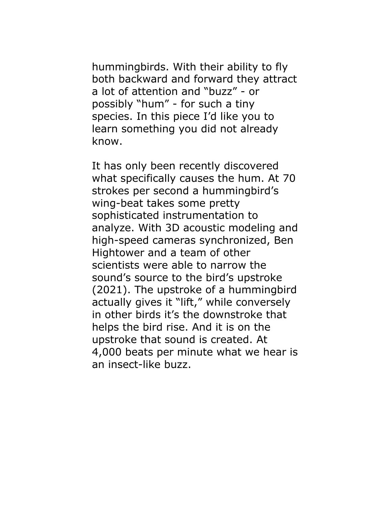hummingbirds. With their ability to fly both backward and forward they attract a lot of attention and "buzz" - or possibly "hum" - for such a tiny species. In this piece I'd like you to learn something you did not already know.

It has only been recently discovered what specifically causes the hum. At 70 strokes per second a hummingbird's wing-beat takes some pretty sophisticated instrumentation to analyze. With 3D acoustic modeling and high-speed cameras synchronized, Ben Hightower and a team of other scientists were able to narrow the sound's source to the bird's upstroke (2021). The upstroke of a hummingbird actually gives it "lift," while conversely in other birds it's the downstroke that helps the bird rise. And it is on the upstroke that sound is created. At 4,000 beats per minute what we hear is an insect-like buzz.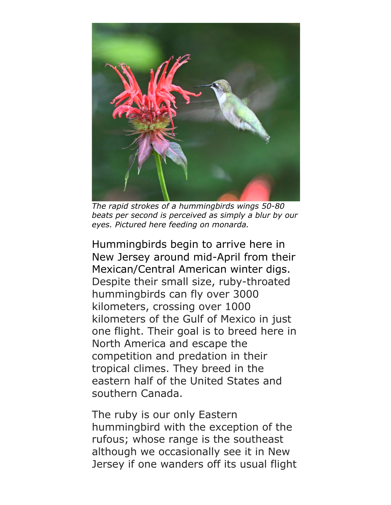

*The rapid strokes of a hummingbirds wings 50-80 beats per second is perceived as simply a blur by our eyes. Pictured here feeding on monarda.* 

Hummingbirds begin to arrive here in New Jersey around mid-April from their Mexican/Central American winter digs. Despite their small size, ruby-throated hummingbirds can fly over 3000 kilometers, crossing over 1000 kilometers of the Gulf of Mexico in just one flight. Their goal is to breed here in North America and escape the competition and predation in their tropical climes. They breed in the eastern half of the United States and southern Canada.

The ruby is our only Eastern hummingbird with the exception of the rufous; whose range is the southeast although we occasionally see it in New Jersey if one wanders off its usual flight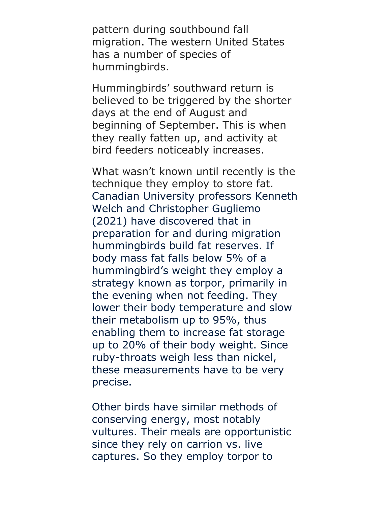pattern during southbound fall migration. The western United States has a number of species of hummingbirds.

Hummingbirds' southward return is believed to be triggered by the shorter days at the end of August and beginning of September. This is when they really fatten up, and activity at bird feeders noticeably increases.

What wasn't known until recently is the technique they employ to store fat. Canadian University professors Kenneth Welch and Christopher Gugliemo (2021) have discovered that in preparation for and during migration hummingbirds build fat reserves. If body mass fat falls below 5% of a hummingbird's weight they employ a strategy known as torpor, primarily in the evening when not feeding. They lower their body temperature and slow their metabolism up to 95%, thus enabling them to increase fat storage up to 20% of their body weight. Since ruby-throats weigh less than nickel, these measurements have to be very precise.

Other birds have similar methods of conserving energy, most notably vultures. Their meals are opportunistic since they rely on carrion vs. live captures. So they employ torpor to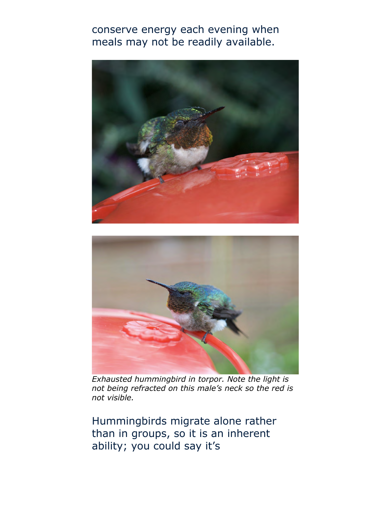conserve energy each evening when meals may not be readily available.





*Exhausted hummingbird in torpor. Note the light is not being refracted on this male's neck so the red is not visible.* 

Hummingbirds migrate alone rather than in groups, so it is an inherent ability; you could say it's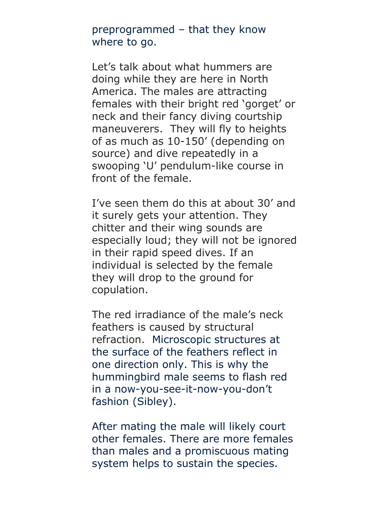preprogrammed – that they know where to go.

Let's talk about what hummers are doing while they are here in North America. The males are attracting females with their bright red 'gorget' or neck and their fancy diving courtship maneuverers. They will fly to heights of as much as 10-150' (depending on source) and dive repeatedly in a swooping 'U' pendulum-like course in front of the female.

I've seen them do this at about 30' and it surely gets your attention. They chitter and their wing sounds are especially loud; they will not be ignored in their rapid speed dives. If an individual is selected by the female they will drop to the ground for copulation.

The red irradiance of the male's neck feathers is caused by structural refraction. Microscopic structures at the surface of the feathers reflect in one direction only. This is why the hummingbird male seems to flash red in a now-you-see-it-now-you-don't fashion (Sibley).

After mating the male will likely court other females. There are more females than males and a promiscuous mating system helps to sustain the species.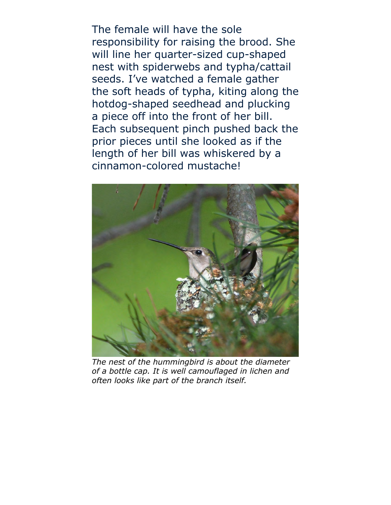The female will have the sole responsibility for raising the brood. She will line her quarter-sized cup-shaped nest with spiderwebs and typha/cattail seeds. I've watched a female gather the soft heads of typha, kiting along the hotdog-shaped seedhead and plucking a piece off into the front of her bill. Each subsequent pinch pushed back the prior pieces until she looked as if the length of her bill was whiskered by a cinnamon-colored mustache!



*The nest of the hummingbird is about the diameter of a bottle cap. It is well camouflaged in lichen and often looks like part of the branch itself.*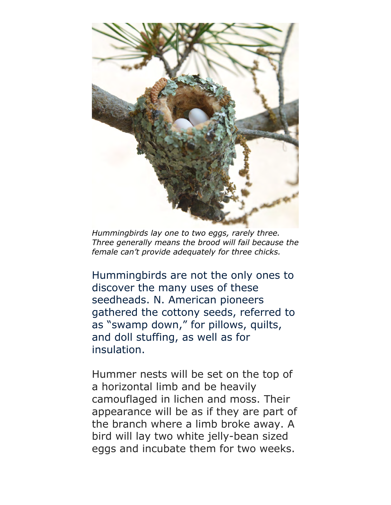

*Hummingbirds lay one to two eggs, rarely three. Three generally means the brood will fail because the female can't provide adequately for three chicks.* 

Hummingbirds are not the only ones to discover the many uses of these seedheads. N. American pioneers gathered the cottony seeds, referred to as "swamp down," for pillows, quilts, and doll stuffing, as well as for insulation.

Hummer nests will be set on the top of a horizontal limb and be heavily camouflaged in lichen and moss. Their appearance will be as if they are part of the branch where a limb broke away. A bird will lay two white jelly-bean sized eggs and incubate them for two weeks.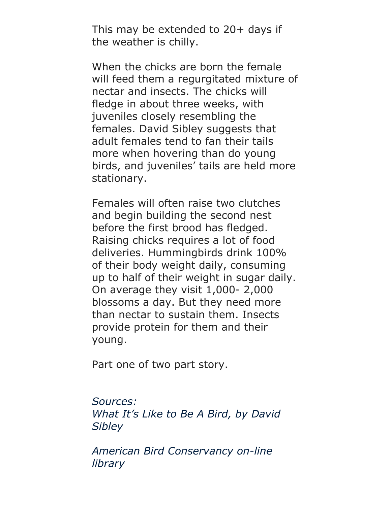This may be extended to 20+ days if the weather is chilly.

When the chicks are born the female will feed them a regurgitated mixture of nectar and insects. The chicks will fledge in about three weeks, with juveniles closely resembling the females. David Sibley suggests that adult females tend to fan their tails more when hovering than do young birds, and juveniles' tails are held more stationary.

Females will often raise two clutches and begin building the second nest before the first brood has fledged. Raising chicks requires a lot of food deliveries. Hummingbirds drink 100% of their body weight daily, consuming up to half of their weight in sugar daily. On average they visit 1,000- 2,000 blossoms a day. But they need more than nectar to sustain them. Insects provide protein for them and their young.

Part one of two part story.

## *Sources:*

*What It's Like to Be A Bird, by David Sibley*

*American Bird Conservancy on-line library*